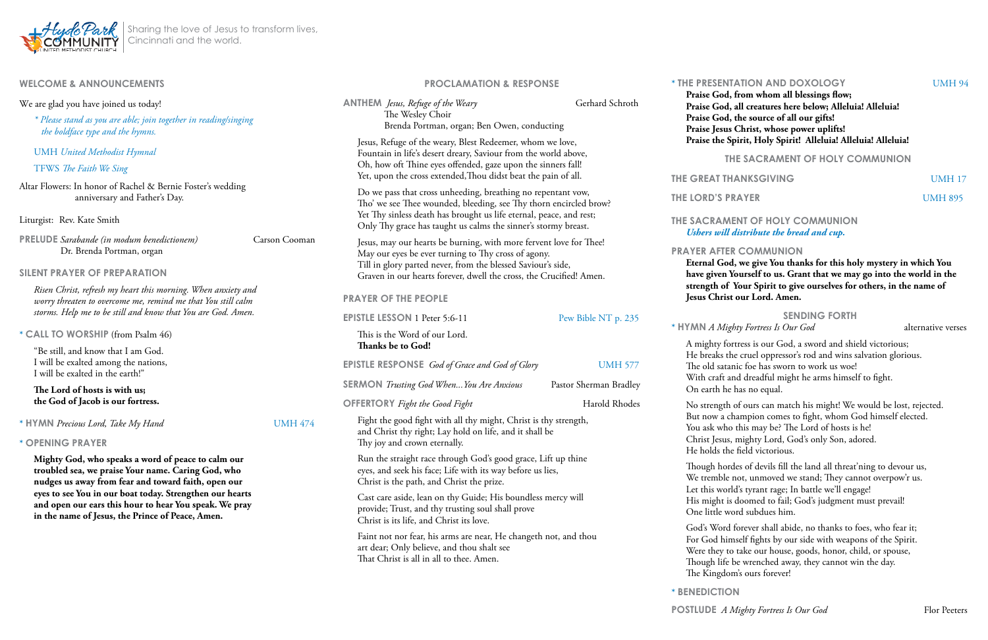#### **WELCOME & ANNOUNCEMENTS**

#### We are glad you have joined us today!

*\* Please stand as you are able; join together in reading/singing the boldface type and the hymns.*

UMH *United Methodist Hymnal*

TFWS *The Faith We Sing*

**PRELUDE** *Sarabande* (in modum benedictionem) Carson Cooman Dr. Brenda Portman, organ

Altar Flowers: In honor of Rachel & Bernie Foster's wedding anniversary and Father's Day.

Liturgist:Rev. Kate Smith

#### **SILENT PRAYER OF PREPARATION**

*Risen Christ, refresh my heart this morning. When anxiety and worry threaten to overcome me, remind me that You still calm storms. Help me to be still and know that You are God. Amen.* 

#### **\* CALL TO WORSHIP** (from Psalm 46)

"Be still, and know that I am God. I will be exalted among the nations, I will be exalted in the earth!"

**The Lord of hosts is with us; the God of Jacob is our fortress.** 

**\* HYMN** *Precious Lord, Take My Hand* UMH 474

#### **\* OPENING PRAYER**

**Mighty God, who speaks a word of peace to calm our troubled sea, we praise Your name. Caring God, who nudges us away from fear and toward faith, open our eyes to see You in our boat today. Strengthen our hearts and open our ears this hour to hear You speak. We pray in the name of Jesus, the Prince of Peace, Amen.** 

**RAMENT OF HOLY COMMUNION** *Ushers will distribute the bread and cup.* 

#### **AFTER COMMUNION**

**Example 3 God, we give You thanks for this holy mystery in which You have a** Yourself to us. Grant that we may go into the world in the **strength of Your Spirit to give ourselves for others, in the name of Christ our Lord. Amen.** 

| <b>PROCLAMATION &amp; RESPONSE</b>                                                                                                                                                                                                                             |                        | * THE PRE                                       |  |
|----------------------------------------------------------------------------------------------------------------------------------------------------------------------------------------------------------------------------------------------------------------|------------------------|-------------------------------------------------|--|
| <b>ANTHEM</b> Jesus, Refuge of the Weary<br>The Wesley Choir<br>Brenda Portman, organ; Ben Owen, conducting                                                                                                                                                    | Gerhard Schroth        | Praise<br>Praise<br>Praise<br>Praise            |  |
| Jesus, Refuge of the weary, Blest Redeemer, whom we love,<br>Fountain in life's desert dreary, Saviour from the world above,<br>Oh, how oft Thine eyes offended, gaze upon the sinners fall!<br>Yet, upon the cross extended, Thou didst beat the pain of all. |                        | Praise<br><b>THE GREA</b>                       |  |
| Do we pass that cross unheeding, breathing no repentant vow,<br>Tho' we see Thee wounded, bleeding, see Thy thorn encircled brow?<br>Yet Thy sinless death has brought us life eternal, peace, and rest;                                                       |                        | <b>THE LORD</b>                                 |  |
|                                                                                                                                                                                                                                                                |                        | <b>THE SACR</b>                                 |  |
| Only Thy grace has taught us calms the sinner's stormy breast.<br>Jesus, may our hearts be burning, with more fervent love for Thee!<br>May our eyes be ever turning to Thy cross of agony.                                                                    |                        | <b>Ushers</b><br><b>PRAYER A</b><br>Eternal     |  |
| Till in glory parted never, from the blessed Saviour's side,<br>Graven in our hearts forever, dwell the cross, the Crucified! Amen.                                                                                                                            |                        | have gi<br>strengt                              |  |
| <b>PRAYER OF THE PEOPLE</b>                                                                                                                                                                                                                                    |                        | Jesus C                                         |  |
| <b>EPISTLE LESSON 1 Peter 5:6-11</b>                                                                                                                                                                                                                           | Pew Bible NT p. 235    | * HYMN A                                        |  |
| This is the Word of our Lord.<br>Thanks be to God!                                                                                                                                                                                                             |                        | A migh                                          |  |
| <b>EPISTLE RESPONSE</b> God of Grace and God of Glory                                                                                                                                                                                                          | <b>UMH 577</b>         | He brea<br>The old                              |  |
| <b>SERMON</b> Trusting God When You Are Anxious                                                                                                                                                                                                                | Pastor Sherman Bradley | With c<br>On ear                                |  |
| <b>OFFERTORY</b> Fight the Good Fight                                                                                                                                                                                                                          | Harold Rhodes          | No stre                                         |  |
| Fight the good fight with all thy might, Christ is thy strength,<br>and Christ thy right; Lay hold on life, and it shall be<br>Thy joy and crown eternally.                                                                                                    |                        | But no<br>You ask<br>Christ<br>He hol           |  |
| Run the straight race through God's good grace, Lift up thine<br>eyes, and seek his face; Life with its way before us lies,<br>Christ is the path, and Christ the prize.                                                                                       |                        | Though<br>We tren<br>Let this                   |  |
| Cast care aside, lean on thy Guide; His boundless mercy will<br>provide; Trust, and thy trusting soul shall prove<br>Christ is its life, and Christ its love.                                                                                                  |                        | His mig<br>One lit                              |  |
| Faint not nor fear, his arms are near, He changeth not, and thou<br>art dear; Only believe, and thou shalt see<br>That Christ is all in all to thee. Amen.                                                                                                     |                        | God's V<br>For Go<br>Were th<br>Though<br>$T^*$ |  |

Word forever shall abide, no thanks to foes, who fear it; od himself fights by our side with weapons of the Spirit. hey to take our house, goods, honor, child, or spouse, h life be wrenched away, they cannot win the day. The Kingdom's ours forever!

**POSTLUDE** *A Mighty Fortress Is Our God* Flor Peeters



Sharing the love of Jesus to transform lives, Cincinnati and the world.

#### **\* THE PRESENTATION AND DOXOLOGY** UMH 94 God, from whom all blessings flow; **Praise God, all creatures here below; Alleluia! Alleluia! Praise God, the source of all our gifts!** Jesus Christ, whose power uplifts! **Praise the Spirit, Holy Spirit! Alleluia! Alleluia! Alleluia!**

## **THE SACRAMENT OF HOLY COMMUNION**

**THANKSGIVING** UMH 17

**The LORD'S PRAYER CONTROL** 

#### **SENDING FORTH**

*Mighty Fortress Is Our God* alternative verses

aty fortress is our God, a sword and shield victorious; aks the cruel oppressor's rod and wins salvation glorious. satanic foe has sworn to work us woe! raft and dreadful might he arms himself to fight. rth he has no equal.

ength of ours can match his might! We would be lost, rejected. but a champion comes to fight, whom God himself elected. x who this may be? The Lord of hosts is he! Jesus, mighty Lord, God's only Son, adored. lds the field victorious.

h hordes of devils fill the land all threat'ning to devour us, mble not, unmoved we stand; They cannot overpow'r us. world's tyrant rage; In battle we'll engage! ght is doomed to fail; God's judgment must prevail! ttle word subdues him.

**\* BENEDICTION**